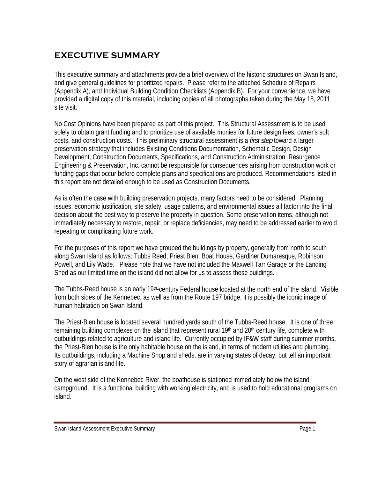## **EXECUTIVE SUMMARY**

This executive summary and attachments provide a brief overview of the historic structures on Swan Island, and give general guidelines for prioritized repairs. Please refer to the attached Schedule of Repairs (Appendix A), and Individual Building Condition Checklists (Appendix B). For your convenience, we have provided a digital copy of this material, including copies of all photographs taken during the May 18, 2011 site visit.

No Cost Opinions have been prepared as part of this project. This Structural Assessment is to be used solely to obtain grant funding and to prioritize use of available monies for future design fees, owner's soft costs, and construction costs. This preliminary structural assessment is a *first step* toward a larger preservation strategy that includes Existing Conditions Documentation, Schematic Design, Design Development, Construction Documents, Specifications, and Construction Administration. Resurgence Engineering & Preservation, Inc. cannot be responsible for consequences arising from construction work or funding gaps that occur before complete plans and specifications are produced. Recommendations listed in this report are not detailed enough to be used as Construction Documents.

As is often the case with building preservation projects, many factors need to be considered. Planning issues, economic justification, site safety, usage patterns, and environmental issues all factor into the final decision about the best way to preserve the property in question. Some preservation items, although not immediately necessary to restore, repair, or replace deficiencies, may need to be addressed earlier to avoid repeating or complicating future work.

For the purposes of this report we have grouped the buildings by property, generally from north to south along Swan Island as follows: Tubbs Reed, Priest Blen, Boat House, Gardiner Dumaresque, Robinson Powell, and Lily Wade. Please note that we have not included the Maxwell Tarr Garage or the Landing Shed as our limited time on the island did not allow for us to assess these buildings.

The Tubbs-Reed house is an early 19<sup>th</sup>-century Federal house located at the north end of the island. Visible from both sides of the Kennebec, as well as from the Route 197 bridge, it is possibly the iconic image of human habitation on Swan Island.

The Priest-Blen house is located several hundred yards south of the Tubbs-Reed house. It is one of three remaining building complexes on the island that represent rural 19<sup>th</sup> and 20<sup>th</sup> century life, complete with outbuildings related to agriculture and island life. Currently occupied by IF&W staff during summer months, the Priest-Blen house is the only habitable house on the island, in terms of modern utilities and plumbing. Its outbuildings, including a Machine Shop and sheds, are in varying states of decay, but tell an important story of agrarian island life.

On the west side of the Kennebec River, the boathouse is stationed immediately below the island campground. It is a functional building with working electricity, and is used to hold educational programs on island.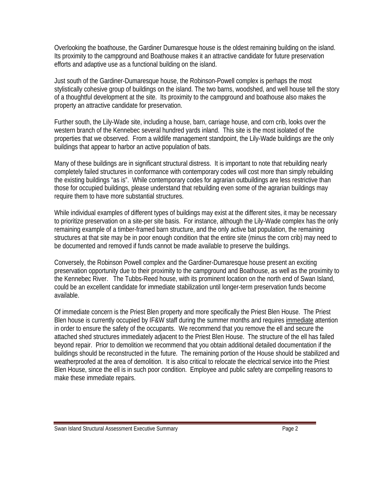Overlooking the boathouse, the Gardiner Dumaresque house is the oldest remaining building on the island. Its proximity to the campground and Boathouse makes it an attractive candidate for future preservation efforts and adaptive use as a functional building on the island.

Just south of the Gardiner-Dumaresque house, the Robinson-Powell complex is perhaps the most stylistically cohesive group of buildings on the island. The two barns, woodshed, and well house tell the story of a thoughtful development at the site. Its proximity to the campground and boathouse also makes the property an attractive candidate for preservation.

Further south, the Lily-Wade site, including a house, barn, carriage house, and corn crib, looks over the western branch of the Kennebec several hundred yards inland. This site is the most isolated of the properties that we observed. From a wildlife management standpoint, the Lily-Wade buildings are the only buildings that appear to harbor an active population of bats.

Many of these buildings are in significant structural distress. It is important to note that rebuilding nearly completely failed structures in conformance with contemporary codes will cost more than simply rebuilding the existing buildings "as is". While contemporary codes for agrarian outbuildings are less restrictive than those for occupied buildings, please understand that rebuilding even some of the agrarian buildings may require them to have more substantial structures.

While individual examples of different types of buildings may exist at the different sites, it may be necessary to prioritize preservation on a site-per site basis. For instance, although the Lily-Wade complex has the only remaining example of a timber-framed barn structure, and the only active bat population, the remaining structures at that site may be in poor enough condition that the entire site (minus the corn crib) may need to be documented and removed if funds cannot be made available to preserve the buildings.

Conversely, the Robinson Powell complex and the Gardiner-Dumaresque house present an exciting preservation opportunity due to their proximity to the campground and Boathouse, as well as the proximity to the Kennebec River. The Tubbs-Reed house, with its prominent location on the north end of Swan Island, could be an excellent candidate for immediate stabilization until longer-term preservation funds become available.

Of immediate concern is the Priest Blen property and more specifically the Priest Blen House. The Priest Blen house is currently occupied by IF&W staff during the summer months and requires immediate attention in order to ensure the safety of the occupants. We recommend that you remove the ell and secure the attached shed structures immediately adjacent to the Priest Blen House. The structure of the ell has failed beyond repair. Prior to demolition we recommend that you obtain additional detailed documentation if the buildings should be reconstructed in the future. The remaining portion of the House should be stabilized and weatherproofed at the area of demolition. It is also critical to relocate the electrical service into the Priest Blen House, since the ell is in such poor condition. Employee and public safety are compelling reasons to make these immediate repairs.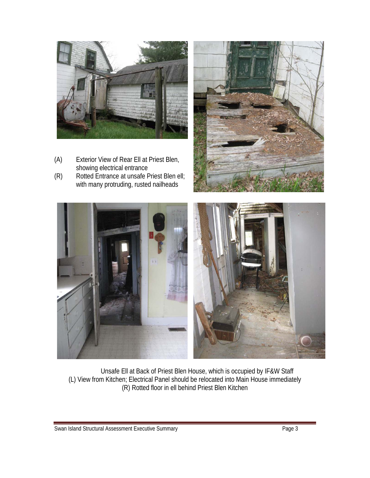

- (A) Exterior View of Rear Ell at Priest Blen, showing electrical entrance<br>(R) Rotted Entrance at unsafe F
- Rotted Entrance at unsafe Priest Blen ell; with many protruding, rusted nailheads





Unsafe Ell at Back of Priest Blen House, which is occupied by IF&W Staff (L) View from Kitchen; Electrical Panel should be relocated into Main House immediately (R) Rotted floor in ell behind Priest Blen Kitchen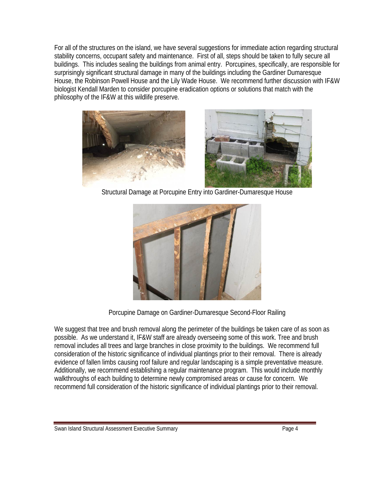For all of the structures on the island, we have several suggestions for immediate action regarding structural stability concerns, occupant safety and maintenance. First of all, steps should be taken to fully secure all buildings. This includes sealing the buildings from animal entry. Porcupines, specifically, are responsible for surprisingly significant structural damage in many of the buildings including the Gardiner Dumaresque House, the Robinson Powell House and the Lily Wade House. We recommend further discussion with IF&W biologist Kendall Marden to consider porcupine eradication options or solutions that match with the philosophy of the IF&W at this wildlife preserve.



Structural Damage at Porcupine Entry into Gardiner-Dumaresque House



Porcupine Damage on Gardiner-Dumaresque Second-Floor Railing

We suggest that tree and brush removal along the perimeter of the buildings be taken care of as soon as possible. As we understand it, IF&W staff are already overseeing some of this work. Tree and brush removal includes all trees and large branches in close proximity to the buildings. We recommend full consideration of the historic significance of individual plantings prior to their removal. There is already evidence of fallen limbs causing roof failure and regular landscaping is a simple preventative measure. Additionally, we recommend establishing a regular maintenance program. This would include monthly walkthroughs of each building to determine newly compromised areas or cause for concern. We recommend full consideration of the historic significance of individual plantings prior to their removal.